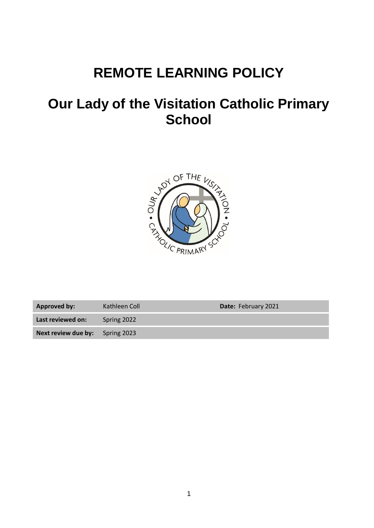# **REMOTE LEARNING POLICY**

# **Our Lady of the Visitation Catholic Primary School**



Approved by: Kathleen Coll **Date:** February 2021

**Last reviewed on:** Spring 2022

**Next review due by:** Spring 2023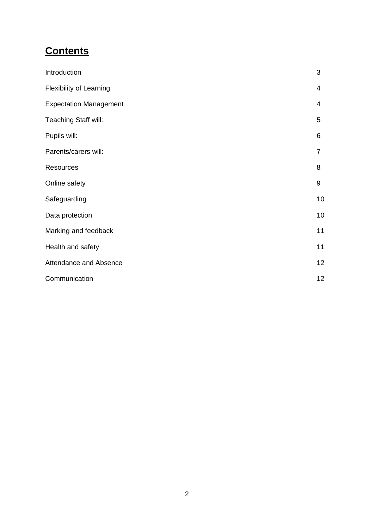# **Contents**

| Introduction                   | 3  |
|--------------------------------|----|
| <b>Flexibility of Learning</b> | 4  |
| <b>Expectation Management</b>  | 4  |
| Teaching Staff will:           | 5  |
| Pupils will:                   | 6  |
| Parents/carers will:           | 7  |
| Resources                      | 8  |
| Online safety                  | 9  |
| Safeguarding                   | 10 |
| Data protection                | 10 |
| Marking and feedback           | 11 |
| Health and safety              | 11 |
| Attendance and Absence         | 12 |
| Communication                  | 12 |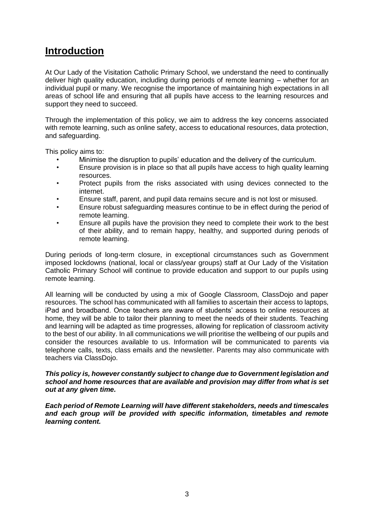#### **Introduction**

At Our Lady of the Visitation Catholic Primary School, we understand the need to continually deliver high quality education, including during periods of remote learning – whether for an individual pupil or many. We recognise the importance of maintaining high expectations in all areas of school life and ensuring that all pupils have access to the learning resources and support they need to succeed.

Through the implementation of this policy, we aim to address the key concerns associated with remote learning, such as online safety, access to educational resources, data protection, and safeguarding.

This policy aims to:

- Minimise the disruption to pupils' education and the delivery of the curriculum.
- Ensure provision is in place so that all pupils have access to high quality learning resources.
- Protect pupils from the risks associated with using devices connected to the internet.
- Ensure staff, parent, and pupil data remains secure and is not lost or misused.
- Ensure robust safeguarding measures continue to be in effect during the period of remote learning.
- Ensure all pupils have the provision they need to complete their work to the best of their ability, and to remain happy, healthy, and supported during periods of remote learning.

During periods of long-term closure, in exceptional circumstances such as Government imposed lockdowns (national, local or class/year groups) staff at Our Lady of the Visitation Catholic Primary School will continue to provide education and support to our pupils using remote learning.

All learning will be conducted by using a mix of Google Classroom, ClassDojo and paper resources. The school has communicated with all families to ascertain their access to laptops, iPad and broadband. Once teachers are aware of students' access to online resources at home, they will be able to tailor their planning to meet the needs of their students. Teaching and learning will be adapted as time progresses, allowing for replication of classroom activity to the best of our ability. In all communications we will prioritise the wellbeing of our pupils and consider the resources available to us. Information will be communicated to parents via telephone calls, texts, class emails and the newsletter. Parents may also communicate with teachers via ClassDojo.

#### *This policy is, however constantly subject to change due to Government legislation and school and home resources that are available and provision may differ from what is set out at any given time.*

*Each period of Remote Learning will have different stakeholders, needs and timescales and each group will be provided with specific information, timetables and remote learning content.*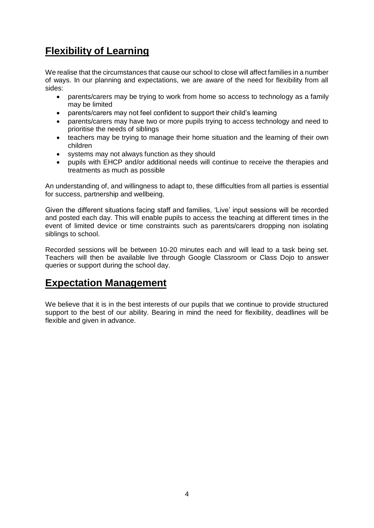# **Flexibility of Learning**

We realise that the circumstances that cause our school to close will affect families in a number of ways. In our planning and expectations, we are aware of the need for flexibility from all sides:

- parents/carers may be trying to work from home so access to technology as a family may be limited
- parents/carers may not feel confident to support their child's learning
- parents/carers may have two or more pupils trying to access technology and need to prioritise the needs of siblings
- teachers may be trying to manage their home situation and the learning of their own children
- systems may not always function as they should
- pupils with EHCP and/or additional needs will continue to receive the therapies and treatments as much as possible

An understanding of, and willingness to adapt to, these difficulties from all parties is essential for success, partnership and wellbeing.

Given the different situations facing staff and families, 'Live' input sessions will be recorded and posted each day. This will enable pupils to access the teaching at different times in the event of limited device or time constraints such as parents/carers dropping non isolating siblings to school.

Recorded sessions will be between 10-20 minutes each and will lead to a task being set. Teachers will then be available live through Google Classroom or Class Dojo to answer queries or support during the school day.

#### **Expectation Management**

We believe that it is in the best interests of our pupils that we continue to provide structured support to the best of our ability. Bearing in mind the need for flexibility, deadlines will be flexible and given in advance.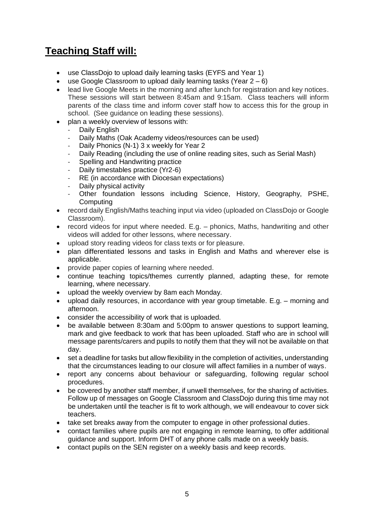# **Teaching Staff will:**

- use ClassDojo to upload daily learning tasks (EYFS and Year 1)
- use Google Classroom to upload daily learning tasks (Year  $2-6$ )
- lead live Google Meets in the morning and after lunch for registration and key notices. These sessions will start between 8:45am and 9:15am. Class teachers will inform parents of the class time and inform cover staff how to access this for the group in school. (See guidance on leading these sessions).
- plan a weekly overview of lessons with:
	- Daily English
	- Daily Maths (Oak Academy videos/resources can be used)
	- Daily Phonics (N-1) 3 x weekly for Year 2
	- Daily Reading (including the use of online reading sites, such as Serial Mash)
	- Spelling and Handwriting practice
	- Daily timestables practice (Yr2-6)
	- RE (in accordance with Diocesan expectations)
	- Daily physical activity
	- Other foundation lessons including Science, History, Geography, PSHE, Computing
- record daily English/Maths teaching input via video (uploaded on ClassDojo or Google Classroom).
- record videos for input where needed. E.g. phonics, Maths, handwriting and other videos will added for other lessons, where necessary.
- upload story reading videos for class texts or for pleasure.
- plan differentiated lessons and tasks in English and Maths and wherever else is applicable.
- provide paper copies of learning where needed.
- continue teaching topics/themes currently planned, adapting these, for remote learning, where necessary.
- upload the weekly overview by 8am each Monday.
- upload daily resources, in accordance with year group timetable. E.g. morning and afternoon.
- consider the accessibility of work that is uploaded.
- be available between 8:30am and 5:00pm to answer questions to support learning, mark and give feedback to work that has been uploaded. Staff who are in school will message parents/carers and pupils to notify them that they will not be available on that day.
- set a deadline for tasks but allow flexibility in the completion of activities, understanding that the circumstances leading to our closure will affect families in a number of ways.
- report any concerns about behaviour or safeguarding, following regular school procedures.
- be covered by another staff member, if unwell themselves, for the sharing of activities. Follow up of messages on Google Classroom and ClassDojo during this time may not be undertaken until the teacher is fit to work although, we will endeavour to cover sick teachers.
- take set breaks away from the computer to engage in other professional duties.
- contact families where pupils are not engaging in remote learning, to offer additional guidance and support. Inform DHT of any phone calls made on a weekly basis.
- contact pupils on the SEN register on a weekly basis and keep records.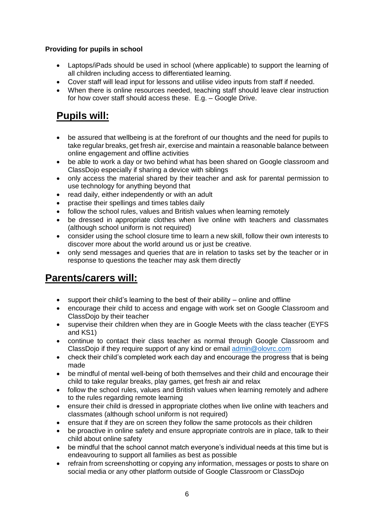#### **Providing for pupils in school**

- Laptops/iPads should be used in school (where applicable) to support the learning of all children including access to differentiated learning.
- Cover staff will lead input for lessons and utilise video inputs from staff if needed.
- When there is online resources needed, teaching staff should leave clear instruction for how cover staff should access these. E.g. – Google Drive.

# **Pupils will:**

- be assured that wellbeing is at the forefront of our thoughts and the need for pupils to take regular breaks, get fresh air, exercise and maintain a reasonable balance between online engagement and offline activities
- be able to work a day or two behind what has been shared on Google classroom and ClassDojo especially if sharing a device with siblings
- only access the material shared by their teacher and ask for parental permission to use technology for anything beyond that
- read daily, either independently or with an adult
- practise their spellings and times tables daily
- follow the school rules, values and British values when learning remotely
- be dressed in appropriate clothes when live online with teachers and classmates (although school uniform is not required)
- consider using the school closure time to learn a new skill, follow their own interests to discover more about the world around us or just be creative.
- only send messages and queries that are in relation to tasks set by the teacher or in response to questions the teacher may ask them directly

### **Parents/carers will:**

- $\bullet$  support their child's learning to the best of their ability online and offline
- encourage their child to access and engage with work set on Google Classroom and ClassDojo by their teacher
- supervise their children when they are in Google Meets with the class teacher (EYFS and KS1)
- continue to contact their class teacher as normal through Google Classroom and ClassDojo if they require support of any kind or email [admin@olovrc.com](mailto:admin@olovrc.com)
- check their child's completed work each day and encourage the progress that is being made
- be mindful of mental well-being of both themselves and their child and encourage their child to take regular breaks, play games, get fresh air and relax
- follow the school rules, values and British values when learning remotely and adhere to the rules regarding remote learning
- ensure their child is dressed in appropriate clothes when live online with teachers and classmates (although school uniform is not required)
- ensure that if they are on screen they follow the same protocols as their children
- be proactive in online safety and ensure appropriate controls are in place, talk to their child about online safety
- be mindful that the school cannot match everyone's individual needs at this time but is endeavouring to support all families as best as possible
- refrain from screenshotting or copying any information, messages or posts to share on social media or any other platform outside of Google Classroom or ClassDojo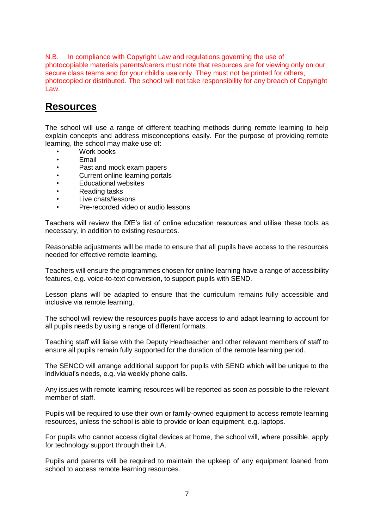N.B. In compliance with Copyright Law and regulations governing the use of photocopiable materials parents/carers must note that resources are for viewing only on our secure class teams and for your child's use only. They must not be printed for others, photocopied or distributed. The school will not take responsibility for any breach of Copyright Law.

#### **Resources**

The school will use a range of different teaching methods during remote learning to help explain concepts and address misconceptions easily. For the purpose of providing remote learning, the school may make use of:

- Work books
- **Email**
- Past and mock exam papers
- Current online learning portals
- Educational websites
- Reading tasks
- Live chats/lessons
- Pre-recorded video or audio lessons

Teachers will review the DfE's list of online education resources and utilise these tools as necessary, in addition to existing resources.

Reasonable adjustments will be made to ensure that all pupils have access to the resources needed for effective remote learning.

Teachers will ensure the programmes chosen for online learning have a range of accessibility features, e.g. voice-to-text conversion, to support pupils with SEND.

Lesson plans will be adapted to ensure that the curriculum remains fully accessible and inclusive via remote learning.

The school will review the resources pupils have access to and adapt learning to account for all pupils needs by using a range of different formats.

Teaching staff will liaise with the Deputy Headteacher and other relevant members of staff to ensure all pupils remain fully supported for the duration of the remote learning period.

The SENCO will arrange additional support for pupils with SEND which will be unique to the individual's needs, e.g. via weekly phone calls.

Any issues with remote learning resources will be reported as soon as possible to the relevant member of staff.

Pupils will be required to use their own or family-owned equipment to access remote learning resources, unless the school is able to provide or loan equipment, e.g. laptops.

For pupils who cannot access digital devices at home, the school will, where possible, apply for technology support through their LA.

Pupils and parents will be required to maintain the upkeep of any equipment loaned from school to access remote learning resources.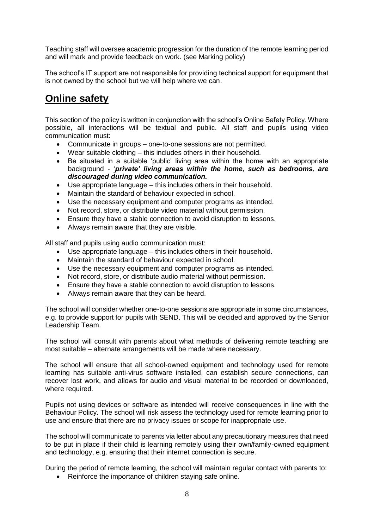Teaching staff will oversee academic progression for the duration of the remote learning period and will mark and provide feedback on work. (see Marking policy)

The school's IT support are not responsible for providing technical support for equipment that is not owned by the school but we will help where we can.

### **Online safety**

This section of the policy is written in conjunction with the school's Online Safety Policy. Where possible, all interactions will be textual and public. All staff and pupils using video communication must:

- Communicate in groups one-to-one sessions are not permitted.
- Wear suitable clothing this includes others in their household.
- Be situated in a suitable 'public' living area within the home with an appropriate background - '*private' living areas within the home, such as bedrooms, are discouraged during video communication.*
- Use appropriate language this includes others in their household.
- Maintain the standard of behaviour expected in school.
- Use the necessary equipment and computer programs as intended.
- Not record, store, or distribute video material without permission.
- Ensure they have a stable connection to avoid disruption to lessons.
- Always remain aware that they are visible.

All staff and pupils using audio communication must:

- Use appropriate language this includes others in their household.
- Maintain the standard of behaviour expected in school.
- Use the necessary equipment and computer programs as intended.
- Not record, store, or distribute audio material without permission.
- Ensure they have a stable connection to avoid disruption to lessons.
- Always remain aware that they can be heard.

The school will consider whether one-to-one sessions are appropriate in some circumstances, e.g. to provide support for pupils with SEND. This will be decided and approved by the Senior Leadership Team.

The school will consult with parents about what methods of delivering remote teaching are most suitable – alternate arrangements will be made where necessary.

The school will ensure that all school-owned equipment and technology used for remote learning has suitable anti-virus software installed, can establish secure connections, can recover lost work, and allows for audio and visual material to be recorded or downloaded, where required.

Pupils not using devices or software as intended will receive consequences in line with the Behaviour Policy. The school will risk assess the technology used for remote learning prior to use and ensure that there are no privacy issues or scope for inappropriate use.

The school will communicate to parents via letter about any precautionary measures that need to be put in place if their child is learning remotely using their own/family-owned equipment and technology, e.g. ensuring that their internet connection is secure.

During the period of remote learning, the school will maintain regular contact with parents to:

Reinforce the importance of children staying safe online.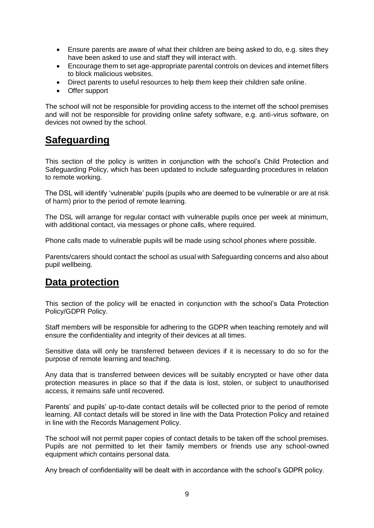- Ensure parents are aware of what their children are being asked to do, e.g. sites they have been asked to use and staff they will interact with.
- Encourage them to set age-appropriate parental controls on devices and internet filters to block malicious websites.
- Direct parents to useful resources to help them keep their children safe online.
- Offer support

The school will not be responsible for providing access to the internet off the school premises and will not be responsible for providing online safety software, e.g. anti-virus software, on devices not owned by the school.

#### **Safeguarding**

This section of the policy is written in conjunction with the school's Child Protection and Safeguarding Policy, which has been updated to include safeguarding procedures in relation to remote working.

The DSL will identify 'vulnerable' pupils (pupils who are deemed to be vulnerable or are at risk of harm) prior to the period of remote learning.

The DSL will arrange for regular contact with vulnerable pupils once per week at minimum, with additional contact, via messages or phone calls, where required.

Phone calls made to vulnerable pupils will be made using school phones where possible.

Parents/carers should contact the school as usual with Safeguarding concerns and also about pupil wellbeing.

#### **Data protection**

This section of the policy will be enacted in conjunction with the school's Data Protection Policy/GDPR Policy.

Staff members will be responsible for adhering to the GDPR when teaching remotely and will ensure the confidentiality and integrity of their devices at all times.

Sensitive data will only be transferred between devices if it is necessary to do so for the purpose of remote learning and teaching.

Any data that is transferred between devices will be suitably encrypted or have other data protection measures in place so that if the data is lost, stolen, or subject to unauthorised access, it remains safe until recovered.

Parents' and pupils' up-to-date contact details will be collected prior to the period of remote learning. All contact details will be stored in line with the Data Protection Policy and retained in line with the Records Management Policy.

The school will not permit paper copies of contact details to be taken off the school premises. Pupils are not permitted to let their family members or friends use any school-owned equipment which contains personal data.

Any breach of confidentiality will be dealt with in accordance with the school's GDPR policy.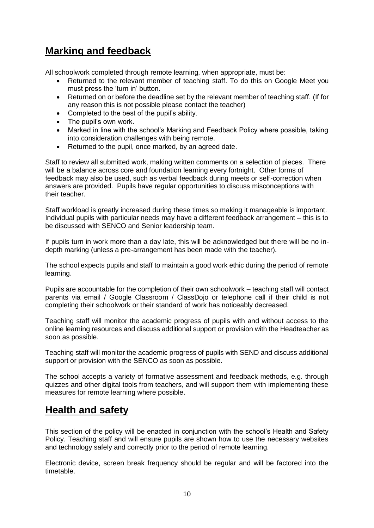## **Marking and feedback**

All schoolwork completed through remote learning, when appropriate, must be:

- Returned to the relevant member of teaching staff. To do this on Google Meet you must press the 'turn in' button.
- Returned on or before the deadline set by the relevant member of teaching staff. (If for any reason this is not possible please contact the teacher)
- Completed to the best of the pupil's ability.
- The pupil's own work.
- Marked in line with the school's Marking and Feedback Policy where possible, taking into consideration challenges with being remote.
- Returned to the pupil, once marked, by an agreed date.

Staff to review all submitted work, making written comments on a selection of pieces. There will be a balance across core and foundation learning every fortnight. Other forms of feedback may also be used, such as verbal feedback during meets or self-correction when answers are provided. Pupils have regular opportunities to discuss misconceptions with their teacher.

Staff workload is greatly increased during these times so making it manageable is important. Individual pupils with particular needs may have a different feedback arrangement – this is to be discussed with SENCO and Senior leadership team.

If pupils turn in work more than a day late, this will be acknowledged but there will be no indepth marking (unless a pre-arrangement has been made with the teacher).

The school expects pupils and staff to maintain a good work ethic during the period of remote learning.

Pupils are accountable for the completion of their own schoolwork – teaching staff will contact parents via email / Google Classroom / ClassDojo or telephone call if their child is not completing their schoolwork or their standard of work has noticeably decreased.

Teaching staff will monitor the academic progress of pupils with and without access to the online learning resources and discuss additional support or provision with the Headteacher as soon as possible.

Teaching staff will monitor the academic progress of pupils with SEND and discuss additional support or provision with the SENCO as soon as possible.

The school accepts a variety of formative assessment and feedback methods, e.g. through quizzes and other digital tools from teachers, and will support them with implementing these measures for remote learning where possible.

### **Health and safety**

This section of the policy will be enacted in conjunction with the school's Health and Safety Policy. Teaching staff and will ensure pupils are shown how to use the necessary websites and technology safely and correctly prior to the period of remote learning.

Electronic device, screen break frequency should be regular and will be factored into the timetable.